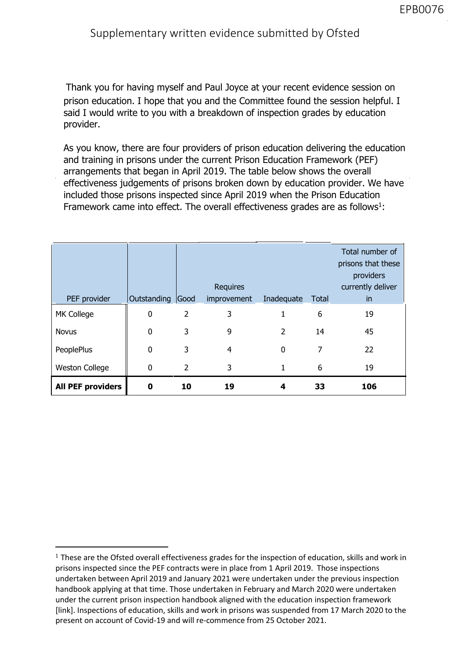## Supple[mentary written e](mailto:enquiries@ofsted.gov.uk)vi[dence submitted](mailto:paul.joyce@ofsted.gov.uk) by Ofsted

provider. Thank you for having myself and Paul Joyce at your recent evidence session on prison education. I hope that you and the Committee found the session helpful. I said I would write to you with a breakdown of inspection grades by education

As you know, there are four providers of prison education delivering the education and training in prisons under the current Prison Education Framework (PEF) arrangements that began in April 2019. The table below shows the overall effectiveness judgements of prisons broken down by education provider. We have included those prisons inspected since April 2019 when the Prison Education Framework came into effect. The overall effectiveness grades are as follows<sup>1</sup>:

|                          |                  | <b>Requires</b> |                |                | Total number of<br>prisons that these<br>providers<br>currently deliver |     |
|--------------------------|------------------|-----------------|----------------|----------------|-------------------------------------------------------------------------|-----|
| PEF provider             | Outstanding Good |                 | improvement    | Inadequate     | Total                                                                   | in  |
| MK College               | 0                | $\overline{2}$  | 3              | 1              | 6                                                                       | 19  |
| <b>Novus</b>             | 0                | 3               | 9              | $\overline{2}$ | 14                                                                      | 45  |
| PeoplePlus               | 0                | 3               | $\overline{4}$ | $\Omega$       | 7                                                                       | 22  |
| <b>Weston College</b>    | 0                | $\overline{2}$  | 3              | 1              | 6                                                                       | 19  |
| <b>All PEF providers</b> | 0                | 10              | 19             | 4              | 33                                                                      | 106 |

 $<sup>1</sup>$  These are the Ofsted overall effectiveness grades for the inspection of education, skills and work in</sup> prisons inspected since the PEF contracts were in place from 1 April 2019. Those inspections undertaken between April 2019 and January 2021 were undertaken under the previous inspection handbook applying at that time. Those undertaken in February and March 2020 were undertaken under the current prison inspection handbook aligned with the education inspection framework [link]. Inspections of education, skills and work in prisons was suspended from 17 March 2020 to the present on account of Covid-19 and will re-commence from 25 October 2021.